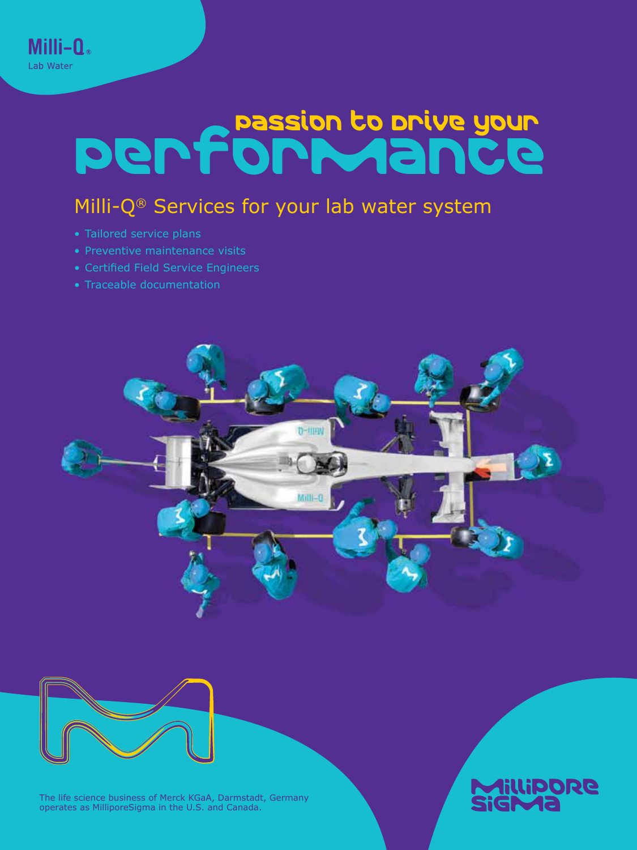# Performance

## Milli-Q<sup>®</sup> Services for your lab water system

• Tailored service plans

Milli-Q. Lab Water

- Preventive maintenance visits
- Certified Field Service Engineers
- Traceable documentation





The life science business of Merck KGaA, Darmstadt, Germany operates as MilliporeSigma in the U.S. and Canada.

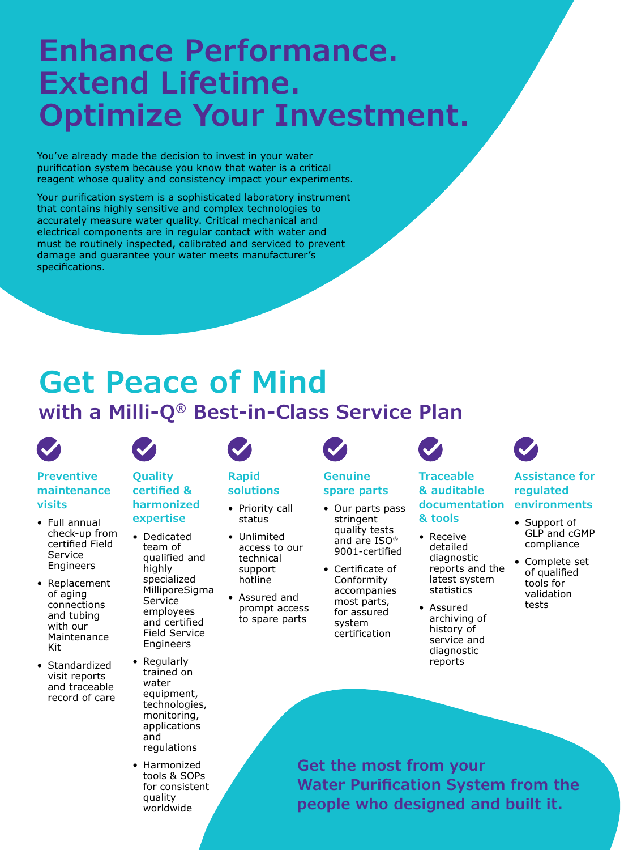# **Enhance Performance. Extend Lifetime. Optimize Your Investment.**

You've already made the decision to invest in your water purification system because you know that water is a critical reagent whose quality and consistency impact your experiments.

Your purification system is a sophisticated laboratory instrument that contains highly sensitive and complex technologies to accurately measure water quality. Critical mechanical and electrical components are in regular contact with water and must be routinely inspected, calibrated and serviced to prevent damage and guarantee your water meets manufacturer's specifications.

# **Get Peace of Mind**

### **with a Milli-Q® Best-in-Class Service Plan**



#### **Preventive maintenance visits**

- Full annual check-up from certified Field Service Engineers
- Replacement of aging connections and tubing with our Maintenance Kit
- Standardized visit reports and traceable record of care

### **Quality certified & harmonized**

**expertise** 

#### • Dedicated team of qualified and highly specialized MilliporeSigma Service employees and certified Field Service Engineers

- Regularly trained on water equipment, technologies, monitoring, applications and regulations
- Harmonized tools & SOPs for consistent quality worldwide

# **Rapid**

#### **solutions** • Priority call status

- Unlimited access to our technical support hotline
- Assured and prompt access to spare parts

# **Genuine**

- **spare parts**
- Our parts pass stringent quality tests and are ISO® 9001-certified
- Certificate of Conformity accompanies most parts, for assured system certification

#### **Traceable & auditable documentation & tools**

- Receive detailed diagnostic reports and the latest system statistics
- Assured archiving of history of service and diagnostic reports

### **Assistance for regulated environments**

- Support of GLP and cGMP compliance
- Complete set of qualified tools for validation tests

**Get the most from your Water Purification System from the people who designed and built it.**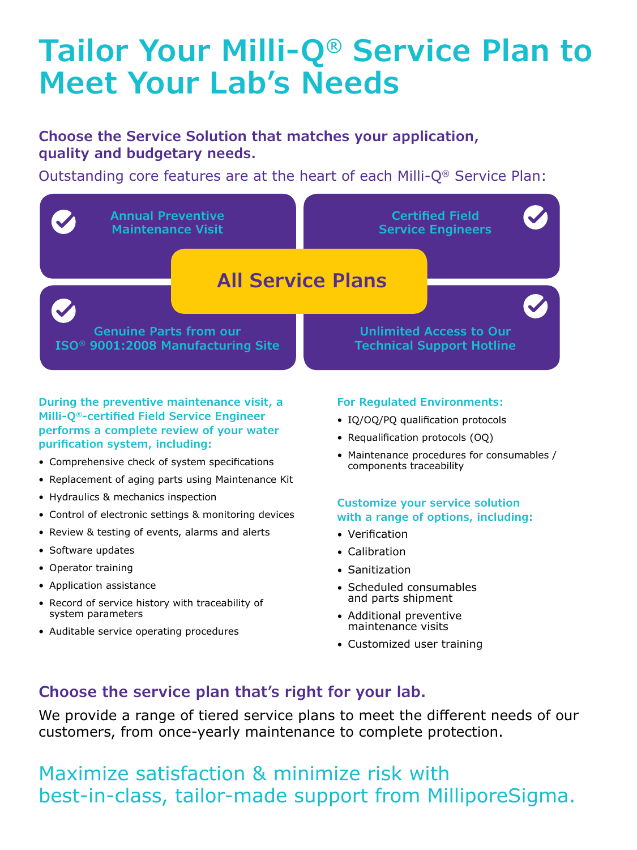# **Tailor Your Milli-Q® Service Plan to Meet Your Lab's Needs**

### **Choose the Service Solution that matches your application, quality and budgetary needs.**

Outstanding core features are at the heart of each Milli-Q® Service Plan:



**During the preventive maintenance visit, a Milli-Q®-certified Field Service Engineer performs a complete review of your water purification system, including:**

- Comprehensive check of system specifications
- Replacement of aging parts using Maintenance Kit
- Hydraulics & mechanics inspection
- Control of electronic settings & monitoring devices
- Review & testing of events, alarms and alerts
- Software updates
- Operator training
- Application assistance
- Record of service history with traceability of system parameters
- Auditable service operating procedures

### **For Regulated Environments:**

- IQ/OQ/PQ qualification protocols
- Requalification protocols (OQ)
- Maintenance procedures for consumables / components traceability

#### **Customize your service solution with a range of options, including:**

- Verification
- Calibration
- Sanitization
- Scheduled consumables and parts shipment
- Additional preventive maintenance visits
- Customized user training

### **Choose the service plan that's right for your lab.**

We provide a range of tiered service plans to meet the different needs of our customers, from once-yearly maintenance to complete protection.

Maximize satisfaction & minimize risk with best-in-class, tailor-made support from MilliporeSigma.